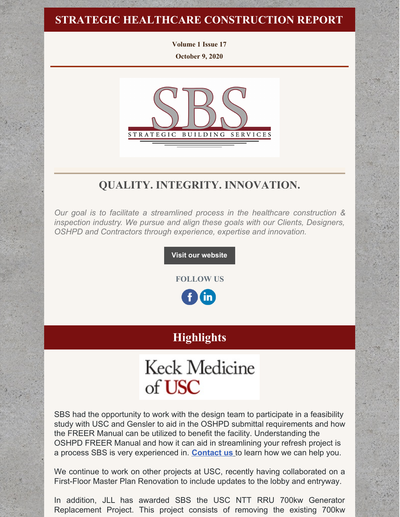### **STRATEGIC HEALTHCARE CONSTRUCTION REPORT**

**Volume 1 Issue 17 October 9, 2020**



# **QUALITY. INTEGRITY. INNOVATION.**

*Our goal is to facilitate a streamlined process in the healthcare construction & inspection industry. We pursue and align these goals with our Clients, Designers, OSHPD and Contractors through experience, expertise and innovation.*

**Visit our [website](http://www.strategic-building.com/)**

**FOLLOW US**

**(in)** 

# **Highlights**

# **Keck Medicine** of USC

SBS had the opportunity to work with the design team to participate in a feasibility study with USC and Gensler to aid in the OSHPD submittal requirements and how the FREER Manual can be utilized to benefit the facility. Understanding the OSHPD FREER Manual and how it can aid in streamlining your refresh project is a process SBS is very experienced in. **[Contact](https://protect-us.mimecast.com/s/eANIC1wP0oh6jysXkOhT?domain=strategic-building.com) us** to learn how we can help you.

We continue to work on other projects at USC, recently having collaborated on a First-Floor Master Plan Renovation to include updates to the lobby and entryway.

In addition, JLL has awarded SBS the USC NTT RRU 700kw Generator Replacement Project. This project consists of removing the existing 700kw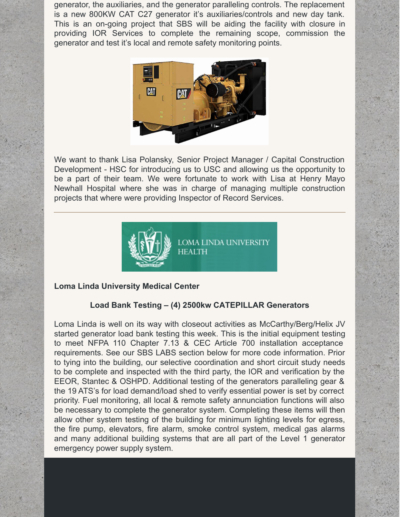generator, the auxiliaries, and the generator paralleling controls. The replacement is a new 800KW CAT C27 generator it's auxiliaries/controls and new day tank. This is an on-going project that SBS will be aiding the facility with closure in providing IOR Services to complete the remaining scope, commission the generator and test it's local and remote safety monitoring points.



We want to thank Lisa Polansky, Senior Project Manager / Capital Construction Development - HSC for introducing us to USC and allowing us the opportunity to be a part of their team. We were fortunate to work with Lisa at Henry Mayo Newhall Hospital where she was in charge of managing multiple construction projects that where were providing Inspector of Record Services.



#### **Loma Linda University Medical Center**

#### **Load Bank Testing – (4) 2500kw CATEPILLAR Generators**

Loma Linda is well on its way with closeout activities as McCarthy/Berg/Helix JV started generator load bank testing this week. This is the initial equipment testing to meet NFPA 110 Chapter 7.13 & CEC Article 700 installation acceptance requirements. See our SBS LABS section below for more code information. Prior to tying into the building, our selective coordination and short circuit study needs to be complete and inspected with the third party, the IOR and verification by the EEOR, Stantec & OSHPD. Additional testing of the generators paralleling gear & the 19 ATS's for load demand/load shed to verify essential power is set by correct priority. Fuel monitoring, all local & remote safety annunciation functions will also be necessary to complete the generator system. Completing these items will then allow other system testing of the building for minimum lighting levels for egress, the fire pump, elevators, fire alarm, smoke control system, medical gas alarms and many additional building systems that are all part of the Level 1 generator emergency power supply system.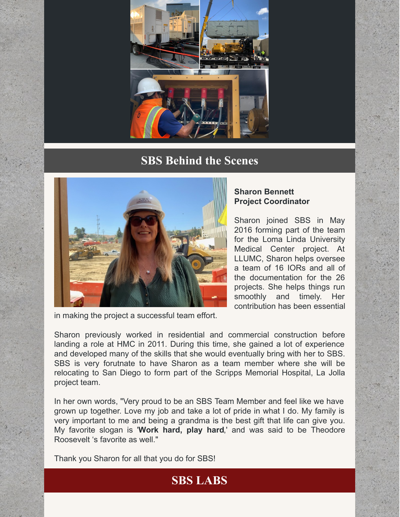

## **SBS Behind the Scenes**



#### **Sharon Bennett Project Coordinator**

Sharon joined SBS in May 2016 forming part of the team for the Loma Linda University Medical Center project. At LLUMC, Sharon helps oversee a team of 16 IORs and all of the documentation for the 26 projects. She helps things run smoothly and timely. Her contribution has been essential

in making the project a successful team effort.

Sharon previously worked in residential and commercial construction before landing a role at HMC in 2011. During this time, she gained a lot of experience and developed many of the skills that she would eventually bring with her to SBS. SBS is very forutnate to have Sharon as a team member where she will be relocating to San Diego to form part of the Scripps Memorial Hospital, La Jolla project team.

In her own words, "Very proud to be an SBS Team Member and feel like we have grown up together. Love my job and take a lot of pride in what I do. My family is very important to me and being a grandma is the best gift that life can give you. My favorite slogan is '**Work hard, play hard**,' and was said to be Theodore Roosevelt 's favorite as well."

**SBS LABS**

Thank you Sharon for all that you do for SBS!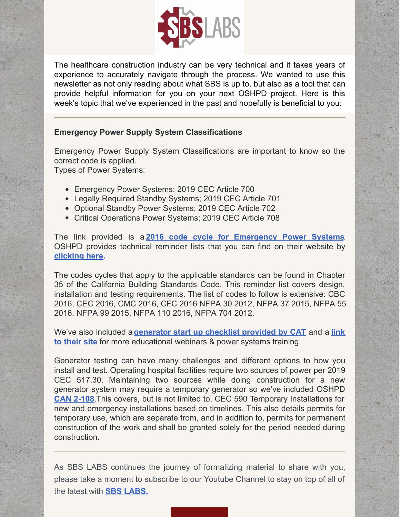

The healthcare construction industry can be very technical and it takes years of experience to accurately navigate through the process. We wanted to use this newsletter as not only reading about what SBS is up to, but also as a tool that can provide helpful information for you on your next OSHPD project. Here is this week's topic that we've experienced in the past and hopefully is beneficial to you:

#### **Emergency Power Supply System Classifications**

Emergency Power Supply System Classifications are important to know so the correct code is applied.

Types of Power Systems:

- Emergency Power Systems; 2019 CEC Article 700
- Legally Required Standby Systems; 2019 CEC Article 701
- Optional Standby Power Systems; 2019 CEC Article 702
- Critical Operations Power Systems; 2019 CEC Article 708

The link provided is a **2016 code cycle for [Emergency](https://protect-us.mimecast.com/s/CbquC2kQypsVxqc99Hf6?domain=files.constantcontact.com) Power Systems**. OSHPD provides technical reminder lists that you can find on their website by **[clicking](https://protect-us.mimecast.com/s/FfIDC31PzqhX81SvF1vq?domain=oshpd.ca.gov) her[e.](https://protect-us.mimecast.com/s/FfIDC31PzqhX81SvF1vq?domain=oshpd.ca.gov)**

The codes cycles that apply to the applicable standards can be found in Chapter 35 of the California Building Standards Code. This reminder list covers design, installation and testing requirements. The list of codes to follow is extensive: CBC 2016, CEC 2016, CMC 2016, CFC 2016 NFPA 30 2012, NFPA 37 2015, NFPA 55 2016, NFPA 99 2015, NFPA 110 2016, NFPA 704 2012.

We've also included a **[generator](https://protect-us.mimecast.com/s/VG56C4xPArhzjNcj5p-V?domain=files.constantcontact.com) start up checklist provided by CAT** and a **link to their site** for more [educational](https://protect-us.mimecast.com/s/aU4RC5yXBvsMnmul-gos?domain=cat.com) webinars & power systems training.

Generator testing can have many challenges and different options to how you install and test. Operating hospital facilities require two sources of power per 2019 CEC 517.30. Maintaining two sources while doing construction for a new generator system may require a temporary generator so we've included OSHPD **CAN [2-108](https://protect-us.mimecast.com/s/8g3IC684DwhP32c9SwzH?domain=oshpd.ca.gov)**.This covers, but is not limited to, CEC 590 Temporary Installations for new and emergency installations based on timelines. This also details permits for temporary use, which are separate from, and in addition to, permits for permanent construction of the work and shall be granted solely for the period needed during construction.

As SBS LABS continues the journey of formalizing material to share with you, please take a moment to subscribe to our Youtube Channel to stay on top of all of the latest with **SBS [LABS.](https://www.youtube.com/channel/UCfR7qiqf9X9tzNf1jD-an_Q)**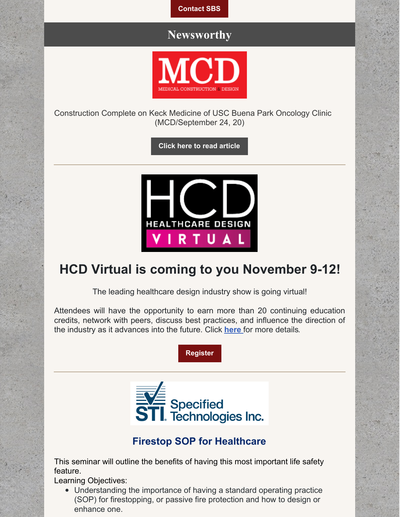**[Contact](http://www.strategic-building.com/contacts) SBS**

## **Newsworthy**



Construction Complete on Keck Medicine of USC Buena Park Oncology Clinic (MCD/September 24, 20)

**Click here to read [article](https://mcdmag.com/2020/09/construction-complete-on-keck-medicine-of-usc-buena-park-oncology-clinic/#.X4CvxGhKjRY)**



# **HCD Virtual is coming to you November 9-12!**

The leading healthcare design industry show is going virtual!

Attendees will have the opportunity to earn more than 20 continuing education credits, network with peers, discuss best practices, and influence the direction of the industry as it advances into the future. Click **[here](https://hcdvirtual.com/)** for more details.





## **Firestop SOP for Healthcare**

This seminar will outline the benefits of having this most important life safety feature.

Learning Objectives:

Understanding the importance of having a standard operating practice (SOP) for firestopping, or passive fire protection and how to design or enhance one.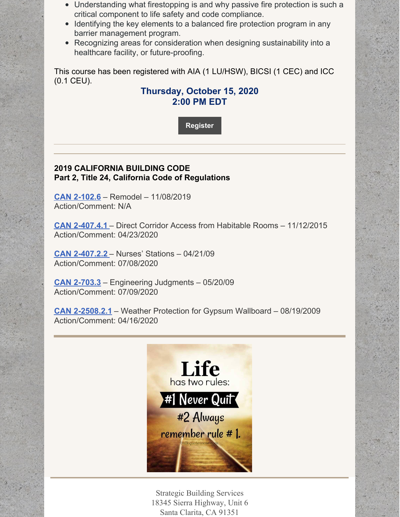- Understanding what firestopping is and why passive fire protection is such a critical component to life safety and code compliance.
- Identifying the key elements to a balanced fire protection program in any barrier management program.
- Recognizing areas for consideration when designing sustainability into a healthcare facility, or future-proofing.

This course has been registered with AIA (1 LU/HSW), BICSI (1 CEC) and ICC (0.1 CEU).

#### **Thursday, October 15, 2020 2:00 PM EDT**

**[Register](https://stifirestop.zoom.us/webinar/register/WN_kKvTDHhkTzymsfvxoftz4Q?mc_cid=4ef16a1ef5&mc_eid=e432ccbfe6)**

#### **2019 CALIFORNIA BUILDING CODE Part 2, Title 24, California Code of Regulations**

**CAN [2-102.6](https://oshpd.ca.gov/ml/v1/resources/document?rs:path=/Construction-And-Finance/Documents/Resources/Codes-and-Regulations/Code-Application-Notices-CANs/2019/CAN-2019-Building-Code-2-102.6-Remodel.pdf)** – Remodel – 11/08/2019 Action/Comment: N/A

**CAN [2-407.4.1](https://oshpd.ca.gov/ml/v1/resources/document?rs:path=/Construction-And-Finance/Documents/Resources/Codes-and-Regulations/Code-Application-Notices-CANs/2019/CAN-2-407.4.1_Direct-Corridor-Access-from-Habitable-Rooms_Rev-042320_ACC.pdf)** – Direct Corridor Access from Habitable Rooms – 11/12/2015 Action/Comment: 04/23/2020

**CAN [2-407.2.2](https://oshpd.ca.gov/ml/v1/resources/document?rs:path=/Construction-And-Finance/Documents/Resources/Codes-and-Regulations/Code-Application-Notices-CANs/2019/CAN2-407.2.2_Nurses-Stations_A.pdf)** – Nurses' Stations – 04/21/09 Action/Comment: 07/08/2020

**CAN [2-703.3](https://oshpd.ca.gov/ml/v1/resources/document?rs:path=/Construction-And-Finance/Documents/Resources/Codes-and-Regulations/Code-Application-Notices-CANs/2019/CAN2-703.3_Engineering-Judgments_A.pdf)** – Engineering Judgments – 05/20/09 Action/Comment: 07/09/2020

**CAN [2-2508.2.1](https://oshpd.ca.gov/ml/v1/resources/document?rs:path=/Construction-And-Finance/Documents/Resources/Codes-and-Regulations/Code-Application-Notices-CANs/2019/CAN-2-2508.2.1_Weather-Protection-for-GypsumWallboard_Rev041620_Final.pdf)** – Weather Protection for Gypsum Wallboard – 08/19/2009 Action/Comment: 04/16/2020



Strategic Building Services 18345 Sierra Highway, Unit 6 Santa Clarita, CA 91351